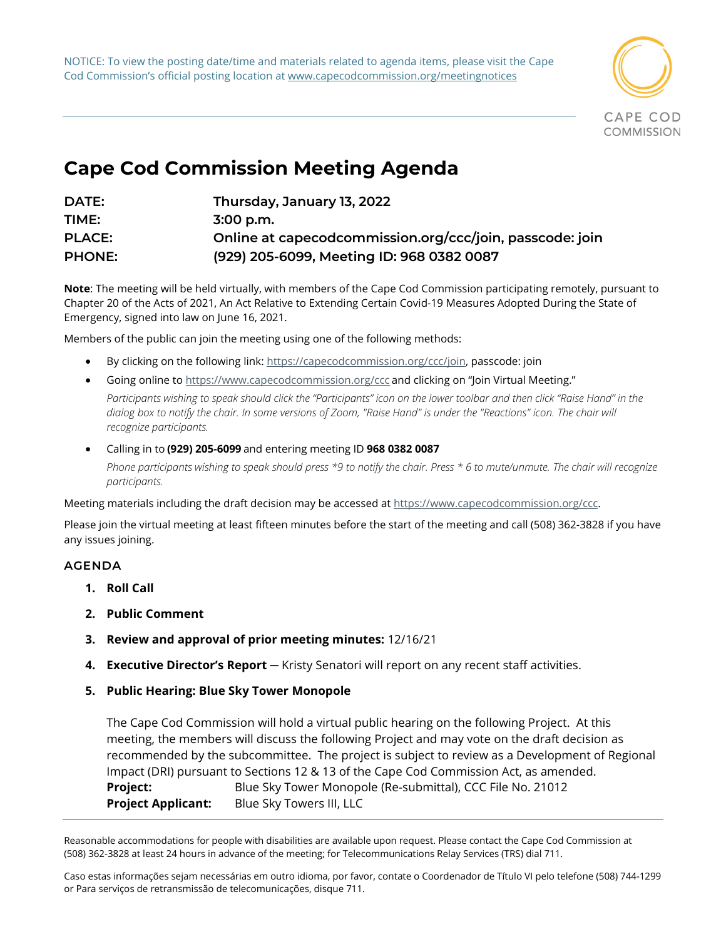NOTICE: To view the posting date/time and materials related to agenda items, please visit the Cape Cod Commission's official posting location at www.capecodcommission.org/meetingnotices



## **Cape Cod Commission Meeting Agenda**

| DATE:         | Thursday, January 13, 2022                               |
|---------------|----------------------------------------------------------|
| TIME:         | $3:00$ p.m.                                              |
| <b>PLACE:</b> | Online at capecodcommission.org/ccc/join, passcode: join |
| <b>PHONE:</b> | (929) 205-6099, Meeting ID: 968 0382 0087                |

**Note**: The meeting will be held virtually, with members of the Cape Cod Commission participating remotely, pursuant to Chapter 20 of the Acts of 2021, An Act Relative to Extending Certain Covid-19 Measures Adopted During the State of Emergency, signed into law on June 16, 2021.

Members of the public can join the meeting using one of the following methods:   

- By clicking on the following link: [https://capecodcommission.org/ccc/join,](https://capecodcommission.org/ccc/join) passcode: join
- Going online t[o https://www.capecodcommission.org/ccc](https://www.capecodcommission.org/ccc) and clicking on "Join Virtual Meeting." Participants wishing to speak should click the "Participants" icon on the lower toolbar and then click "Raise Hand" in the dialog box to notify the chair. In some versions of Zoom, "Raise Hand" is under the "Reactions" icon. The chair will *recognize participants.*
- Calling in to **(929) 205-6099** and entering meeting ID **968 0382 0087** *Phone participants wishing to speak should press \*9 to notify the chair. Press \* 6 to mute/unmute. The chair will recognize participants.*

Meeting materials including the draft decision may be accessed at [https://www.capecodcommission.org/ccc.](https://www.capecodcommission.org/ccc)

Please join the virtual meeting at least fifteen minutes before the start of the meeting and call (508) 362-3828 if you have any issues joining.  

## **AGENDA**

- **1. Roll Call**
- **2. Public Comment**
- **3. Review and approval of prior meeting minutes:** 12/16/21
- **4. Executive Director's Report** ─ Kristy Senatori will report on any recent staff activities.
- **5. Public Hearing: Blue Sky Tower Monopole**

The Cape Cod Commission will hold a virtual public hearing on the following Project. At this meeting, the members will discuss the following Project and may vote on the draft decision as recommended by the subcommittee. The project is subject to review as a Development of Regional Impact (DRI) pursuant to Sections 12 & 13 of the Cape Cod Commission Act, as amended. **Project:** Blue Sky Tower Monopole (Re-submittal), CCC File No. 21012 **Project Applicant:** Blue Sky Towers III, LLC

Reasonable accommodations for people with disabilities are available upon request. Please contact the Cape Cod Commission at (508) 362-3828 at least 24 hours in advance of the meeting; for Telecommunications Relay Services (TRS) dial 711.

Caso estas informações sejam necessárias em outro idioma, por favor, contate o Coordenador de Título VI pelo telefone (508) 744-1299 or Para serviços de retransmissão de telecomunicações, disque 711.